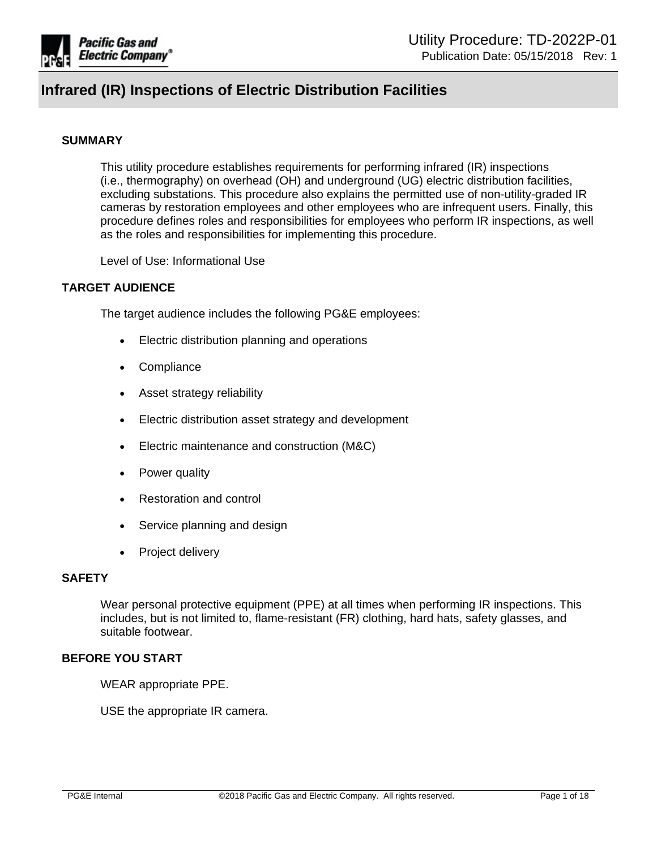

#### **SUMMARY**

This utility procedure establishes requirements for performing infrared (IR) inspections (i.e., thermography) on overhead (OH) and underground (UG) electric distribution facilities, excluding substations. This procedure also explains the permitted use of non-utility-graded IR cameras by restoration employees and other employees who are infrequent users. Finally, this procedure defines roles and responsibilities for employees who perform IR inspections, as well as the roles and responsibilities for implementing this procedure.

Level of Use: Informational Use

### **TARGET AUDIENCE**

The target audience includes the following PG&E employees:

- Electric distribution planning and operations
- **Compliance**
- Asset strategy reliability
- Electric distribution asset strategy and development
- Electric maintenance and construction (M&C)
- Power quality
- Restoration and control
- Service planning and design
- Project delivery

### **SAFETY**

Wear personal protective equipment (PPE) at all times when performing IR inspections. This includes, but is not limited to, flame-resistant (FR) clothing, hard hats, safety glasses, and suitable footwear.

#### **BEFORE YOU START**

WEAR appropriate PPE.

USE the appropriate IR camera.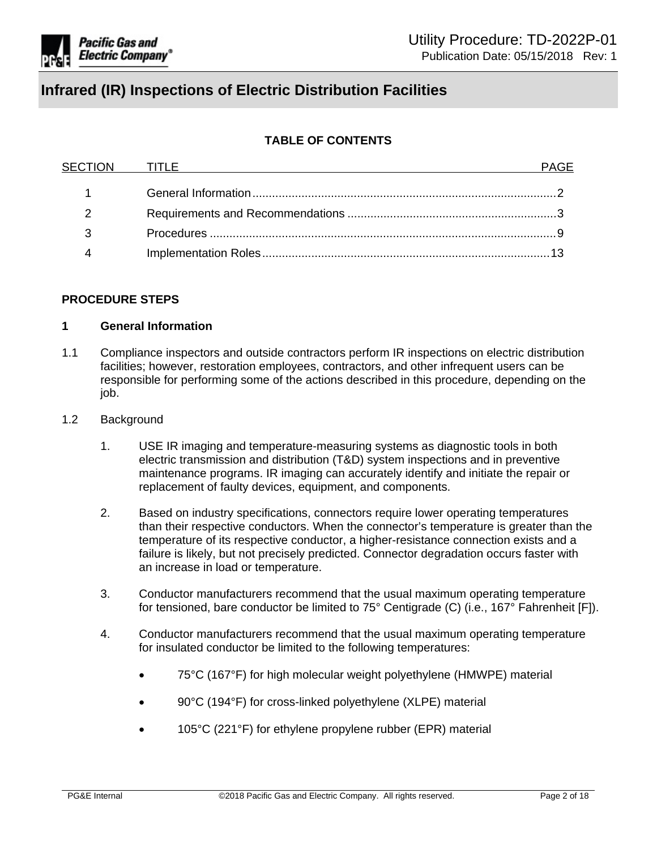

# **TABLE OF CONTENTS**

| SECTION TITLE |  |
|---------------|--|
|               |  |
|               |  |
|               |  |
| າ             |  |
|               |  |

### **PROCEDURE STEPS**

#### <span id="page-1-0"></span>**1 General Information**

- 1.1 Compliance inspectors and outside contractors perform IR inspections on electric distribution facilities; however, restoration employees, contractors, and other infrequent users can be responsible for performing some of the actions described in this procedure, depending on the job.
- 1.2 Background
	- 1. USE IR imaging and temperature-measuring systems as diagnostic tools in both electric transmission and distribution (T&D) system inspections and in preventive maintenance programs. IR imaging can accurately identify and initiate the repair or replacement of faulty devices, equipment, and components.
	- 2. Based on industry specifications, connectors require lower operating temperatures than their respective conductors. When the connector's temperature is greater than the temperature of its respective conductor, a higher-resistance connection exists and a failure is likely, but not precisely predicted. Connector degradation occurs faster with an increase in load or temperature.
	- 3. Conductor manufacturers recommend that the usual maximum operating temperature for tensioned, bare conductor be limited to 75° Centigrade (C) (i.e., 167° Fahrenheit [F]).
	- 4. Conductor manufacturers recommend that the usual maximum operating temperature for insulated conductor be limited to the following temperatures:
		- 75°C (167°F) for high molecular weight polyethylene (HMWPE) material
		- 90°C (194°F) for cross-linked polyethylene (XLPE) material
		- 105°C (221°F) for ethylene propylene rubber (EPR) material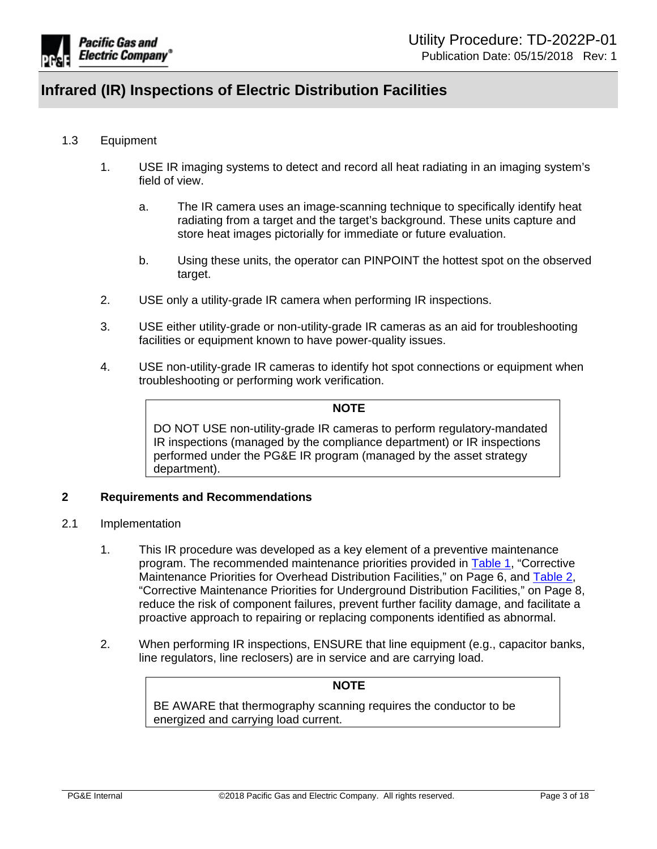

# 1.3 Equipment

- 1. USE IR imaging systems to detect and record all heat radiating in an imaging system's field of view.
	- a. The IR camera uses an image-scanning technique to specifically identify heat radiating from a target and the target's background. These units capture and store heat images pictorially for immediate or future evaluation.
	- b. Using these units, the operator can PINPOINT the hottest spot on the observed target.
- 2. USE only a utility-grade IR camera when performing IR inspections.
- 3. USE either utility-grade or non-utility-grade IR cameras as an aid for troubleshooting facilities or equipment known to have power-quality issues.
- 4. USE non-utility-grade IR cameras to identify hot spot connections or equipment when troubleshooting or performing work verification.

#### **NOTE**

DO NOT USE non-utility-grade IR cameras to perform regulatory-mandated IR inspections (managed by the compliance department) or IR inspections performed under the PG&E IR program (managed by the asset strategy department).

### <span id="page-2-0"></span>**2 Requirements and Recommendations**

- 2.1 Implementation
	- 1. This IR procedure was developed as a key element of a preventive maintenance program. The recommended maintenance priorities provided in [Table](#page-5-0) 1, "Corrective Maintenance Priorities for Overhead Distribution Facilities," on Page 6, and [Table](#page-7-0) 2, "Corrective Maintenance Priorities for Underground Distribution Facilities," on Page 8, reduce the risk of component failures, prevent further facility damage, and facilitate a proactive approach to repairing or replacing components identified as abnormal.
	- 2. When performing IR inspections, ENSURE that line equipment (e.g., capacitor banks, line regulators, line reclosers) are in service and are carrying load.

# **NOTE**

BE AWARE that thermography scanning requires the conductor to be energized and carrying load current.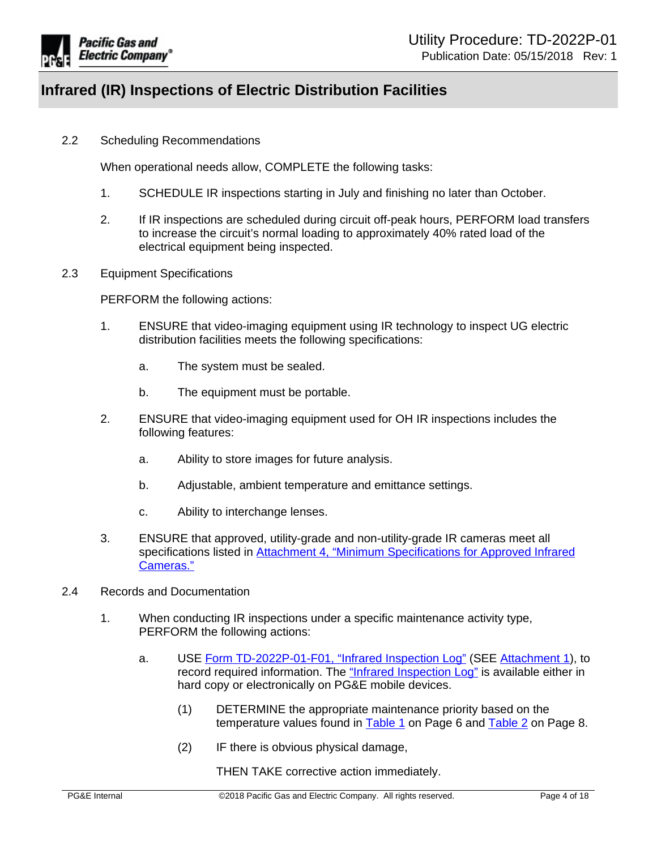

2.2 Scheduling Recommendations

When operational needs allow, COMPLETE the following tasks:

- 1. SCHEDULE IR inspections starting in July and finishing no later than October.
- 2. If IR inspections are scheduled during circuit off-peak hours, PERFORM load transfers to increase the circuit's normal loading to approximately 40% rated load of the electrical equipment being inspected.
- 2.3 Equipment Specifications

PERFORM the following actions:

- 1. ENSURE that video-imaging equipment using IR technology to inspect UG electric distribution facilities meets the following specifications:
	- a. The system must be sealed.
	- b. The equipment must be portable.
- 2. ENSURE that video-imaging equipment used for OH IR inspections includes the following features:
	- a. Ability to store images for future analysis.
	- b. Adjustable, ambient temperature and emittance settings.
	- c. Ability to interchange lenses.
- 3. ENSURE that approved, utility-grade and non-utility-grade IR cameras meet all specifications listed in Attachment 4, "Minimum [Specifications](https://edrm.comp.pge.com/D2/?docbase=pge_ecm&commandEvent=D2_ACTION_CONTENT_VIEW&locateDql=pge_document(all)%20where%20i_chronicle_id%20=) for Approved Infrared [Cameras."](https://edrm.comp.pge.com/D2/?docbase=pge_ecm&commandEvent=D2_ACTION_CONTENT_VIEW&locateDql=pge_document(all)%20where%20i_chronicle_id%20=)
- 2.4 Records and Documentation
	- 1. When conducting IR inspections under a specific maintenance activity type, PERFORM the following actions:
		- a. USE Form [TD-2022P-01-F01,](https://ecmappwlsp01c2.comp.pge.com/TILVIEWER?chronicleId=09131aad80dfa6d4&vd=false&device=false) "Infrared Inspection Log" (SEE [Attachment](https://ecmappwlsp01c2.comp.pge.com/TILVIEWER?chronicleId=09131aad80dfa6d4&vd=false&device=false) 1), to record required information. The "Infrared [Inspection](https://ecmappwlsp01c2.comp.pge.com/TILVIEWER?chronicleId=09131aad80dfa6d4&vd=false&device=false) Log" is available either in hard copy or electronically on PG&E mobile devices.
			- (1) DETERMINE the appropriate maintenance priority based on the temperature values found in [Table](#page-7-0) 1 on Page 6 and Table 2 on Page 8.
			- (2) IF there is obvious physical damage,

THEN TAKE corrective action immediately.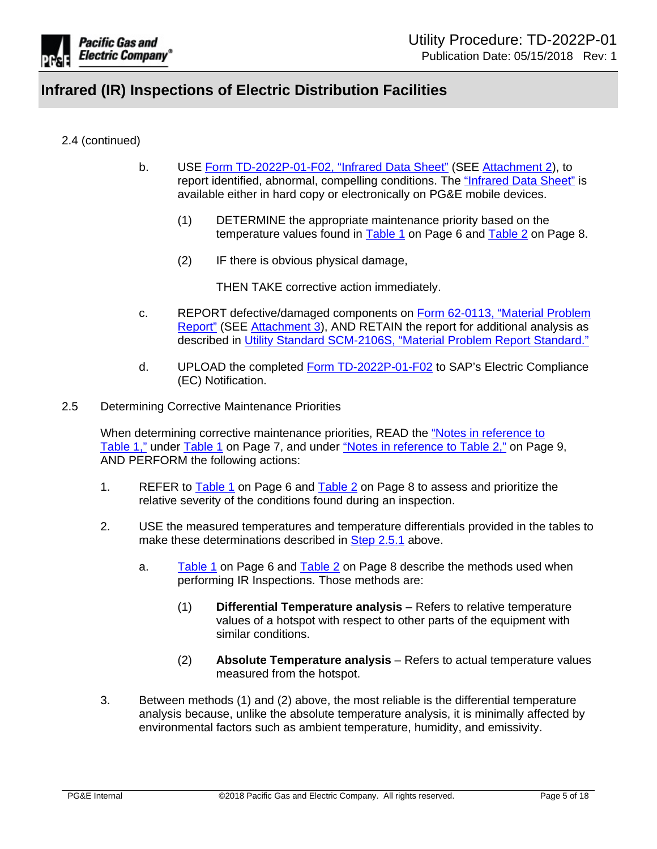

# 2.4 (continued)

- b. USE Form [TD-2022P-01-F02,](https://ecmappwlsp01c2.comp.pge.com/TILVIEWER?chronicleId=09131aad80dfc7a1&vd=false&device=false) "Infrared Data Sheet" (SEE [Attachment](https://ecmappwlsp01c2.comp.pge.com/TILVIEWER?chronicleId=09131aad80dfc7a1&vd=false&device=false) 2), to report identified, abnormal, compelling conditions. The ["Infrared](https://ecmappwlsp01c2.comp.pge.com/TILVIEWER?chronicleId=09131aad80dfc7a1&vd=false&device=false) Data Sheet" is available either in hard copy or electronically on PG&E mobile devices.
	- (1) DETERMINE the appropriate maintenance priority based on the temperature values found in [Table](#page-7-0) 1 on Page 6 and Table 2 on Page 8.
	- (2) IF there is obvious physical damage,

THEN TAKE corrective action immediately.

- c. REPORT defective/damaged components on Form [62-0113,](https://edrm.comp.pge.com/D2/servlet/Download?auth=basic&event_name=open&version=CURRENT&id=09131aad84d2d4c6&_docbase=pge_ecm) "Material Problem [Report"](https://edrm.comp.pge.com/D2/servlet/Download?auth=basic&event_name=open&version=CURRENT&id=09131aad84d2d4c6&_docbase=pge_ecm) (SEE [Attachment](https://edrm.comp.pge.com/D2/servlet/Download?auth=basic&event_name=open&version=CURRENT&id=09131aad84d2d4c6&_docbase=pge_ecm) 3), AND RETAIN the report for additional analysis as described in Utility Standard [SCM-2106S,](http://wwwedm/cgi-bin/getdoctdm.asp?itemid=005553202) "Material Problem Report Standard."
- d. UPLOAD the completed Form [TD-2022P-01-F02](http://wwwedm3/cgi-bin/getdocTDM.asp?itemid=003743082) to SAP's Electric Compliance (EC) Notification.
- 2.5 Determining Corrective Maintenance Priorities

When determining corrective maintenance priorities, READ the "Notes in [reference](#page-6-0) to [Table](#page-6-0) 1," under [Table](#page-5-0) 1 on Page 7, and under "Notes in [reference](#page-8-1) to Table 2," on Page 9, AND PERFORM the following actions:

- <span id="page-4-0"></span>1. REFER to [Table](#page-7-0) 1 on Page 6 and Table 2 on Page 8 to assess and prioritize the relative severity of the conditions found during an inspection.
- 2. USE the measured temperatures and temperature differentials provided in the tables to make these determinations described in Step [2.5.1](#page-4-0) above.
	- a. [Table](#page-5-0) 1 on Page 6 and [Table](#page-7-0) 2 on Page 8 describe the methods used when performing IR Inspections. Those methods are:
		- (1) **Differential Temperature analysis** Refers to relative temperature values of a hotspot with respect to other parts of the equipment with similar conditions.
		- (2) **Absolute Temperature analysis** Refers to actual temperature values measured from the hotspot.
- 3. Between methods (1) and (2) above, the most reliable is the differential temperature analysis because, unlike the absolute temperature analysis, it is minimally affected by environmental factors such as ambient temperature, humidity, and emissivity.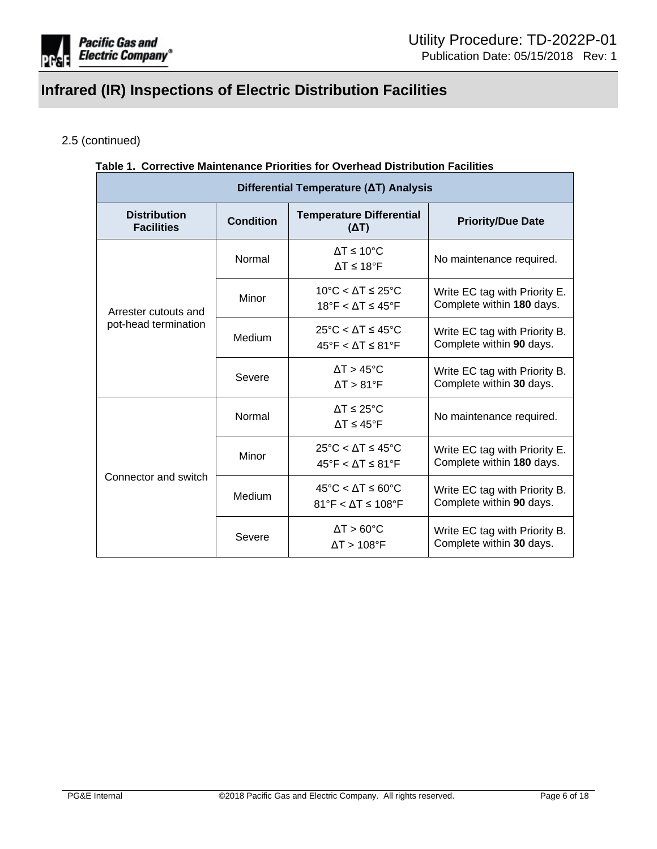

# 2.5 (continued)

### <span id="page-5-0"></span>**Table 1. Corrective Maintenance Priorities for Overhead Distribution Facilities**

| Differential Temperature (AT) Analysis   |                  |                                                                                                    |                                                            |  |  |
|------------------------------------------|------------------|----------------------------------------------------------------------------------------------------|------------------------------------------------------------|--|--|
| <b>Distribution</b><br><b>Facilities</b> | <b>Condition</b> | <b>Temperature Differential</b><br>$(\Delta T)$                                                    | <b>Priority/Due Date</b>                                   |  |  |
|                                          | Normal           | $\Delta T \leq 10^{\circ}$ C<br>$\Delta T \leq 18$ °F                                              | No maintenance required.                                   |  |  |
| Arrester cutouts and                     | Minor            | 10°C < $\Lambda$ T $\leq$ 25°C<br>18°F < $\Lambda$ T $\leq$ 45°F                                   | Write EC tag with Priority E.<br>Complete within 180 days. |  |  |
| pot-head termination                     | Medium           | $25^{\circ}$ C < $\Delta$ T $\leq 45^{\circ}$ C<br>$45^{\circ}$ F < $\Delta$ T $\leq 81^{\circ}$ F | Write EC tag with Priority B.<br>Complete within 90 days.  |  |  |
|                                          | Severe           | $\Delta T > 45^{\circ}$ C<br>$\Delta T > 81$ °F                                                    | Write EC tag with Priority B.<br>Complete within 30 days.  |  |  |
|                                          | Normal           | $\Delta T \leq 25^{\circ}C$<br>$\Lambda T \leq 45$ °F                                              | No maintenance required.                                   |  |  |
|                                          | Minor            | $25^{\circ}$ C < AT $\leq 45^{\circ}$ C<br>$45^{\circ}$ F < $\Delta$ T ≤ 81 $^{\circ}$ F           | Write EC tag with Priority E.<br>Complete within 180 days. |  |  |
| Connector and switch                     | Medium           | $45^{\circ}$ C < AT $\leq 60^{\circ}$ C<br>$81^\circ$ F < $\Delta$ T ≤ 108°F                       | Write EC tag with Priority B.<br>Complete within 90 days.  |  |  |
|                                          | Severe           | $\Delta T > 60^{\circ}$ C<br>$\Delta T > 108$ °F                                                   | Write EC tag with Priority B.<br>Complete within 30 days.  |  |  |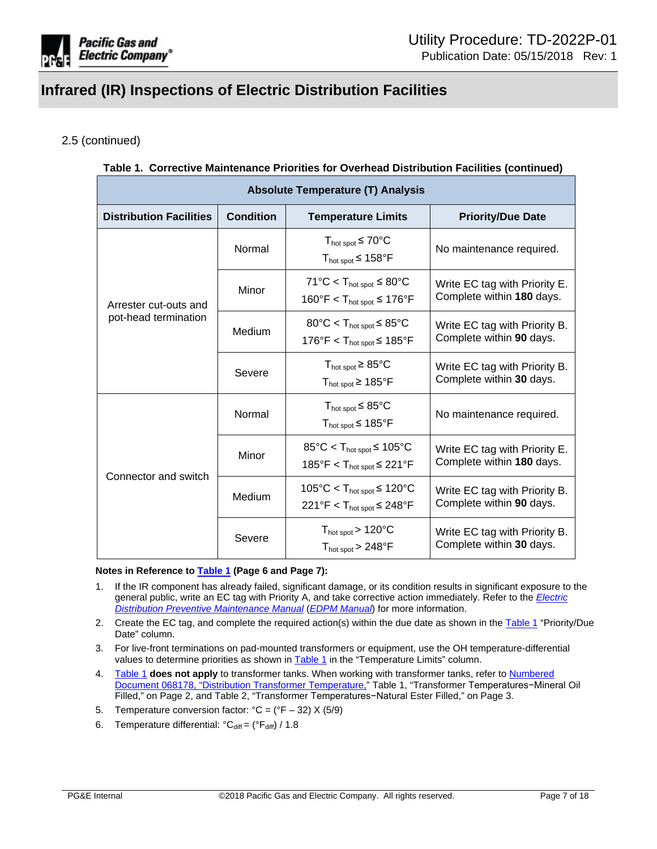

# 2.5 (continued)

# **Table 1. Corrective Maintenance Priorities for Overhead Distribution Facilities (continued)**

| <b>Absolute Temperature (T) Analysis</b> |                  |                                                                                                    |                                                            |  |  |
|------------------------------------------|------------------|----------------------------------------------------------------------------------------------------|------------------------------------------------------------|--|--|
| <b>Distribution Facilities</b>           | <b>Condition</b> | <b>Temperature Limits</b>                                                                          | <b>Priority/Due Date</b>                                   |  |  |
|                                          | Normal           | $T_{hot\ spot}$ $\leq 70^{\circ}$ C<br>$T_{hot\ spot}$ $\leq 158^{\circ}$ F                        | No maintenance required.                                   |  |  |
| Arrester cut-outs and                    | Minor            | $71^{\circ}$ C < T <sub>hot spot</sub> $\leq 80^{\circ}$ C<br>160°F < $T_{hot spot}$ ≤ 176°F       | Write EC tag with Priority E.<br>Complete within 180 days. |  |  |
| pot-head termination                     | Medium           | $80^{\circ}$ C < T <sub>hot spot</sub> $\leq 85^{\circ}$ C<br>176°F < $T_{hot spot}$ ≤ 185°F       | Write EC tag with Priority B.<br>Complete within 90 days.  |  |  |
|                                          | Severe           | $T_{hot spot} \geq 85^{\circ}C$<br>$T_{hot spot}$ ≥ 185°F                                          | Write EC tag with Priority B.<br>Complete within 30 days.  |  |  |
|                                          | Normal           | $T_{hot spot}$ $\leq$ 85°C<br>$T_{hot spot}$ $\leq 185^{\circ}F$                                   | No maintenance required.                                   |  |  |
|                                          | Minor            | $85^{\circ}$ C < T <sub>hot spot</sub> $\leq 105^{\circ}$ C<br>185°F < $T_{hot spot}$ $\leq$ 221°F | Write EC tag with Priority E.<br>Complete within 180 days. |  |  |
| Connector and switch                     | Medium           | $105^{\circ}$ C < T <sub>hot spot</sub> $\leq 120^{\circ}$ C<br>221°F < $T_{hot spot}$ ≤ 248°F     | Write EC tag with Priority B.<br>Complete within 90 days.  |  |  |
|                                          | Severe           | $T_{hot spot}$ > 120 $^{\circ}$ C<br>$T_{hot spot}$ > 248 $\degree$ F                              | Write EC tag with Priority B.<br>Complete within 30 days.  |  |  |

#### <span id="page-6-0"></span>**Notes in Reference to [Table](#page-5-0) 1 (Page 6 and Page 7):**

- 1. If the IR component has already failed, significant damage, or its condition results in significant exposure to the general public, write an EC tag with Priority A, and take corrective action immediately. Refer to the *[Electric](https://ecmappwlsp01c2.comp.pge.com/TILVIEWER?chronicleId=09131aad80e01558&vd=true&device=false) Distribution Preventive [Maintenance](https://ecmappwlsp01c2.comp.pge.com/TILVIEWER?chronicleId=09131aad80e01558&vd=true&device=false) Manual* (*EDPM [Manual](https://ecmappwlsp01c2.comp.pge.com/TILVIEWER?chronicleId=09131aad80e01558&vd=true&device=false)*) for more information.
- 2. Create the EC tag, and complete the required action(s) within the due date as shown in the [Table](#page-5-0) 1 "Priority/Due Date" column.
- 3. For live-front terminations on pad-mounted transformers or equipment, use the OH temperature-differential values to determine priorities as shown in [Table](#page-5-0) 1 in the "Temperature Limits" column.
- 4. [Table](#page-5-0) 1 **does not apply** to transformer tanks. When working with transformer tanks, refer to [Numbered](https://ecmappwlsp01c2.comp.pge.com/TILVIEWER?chronicleId=09131aad80e00b90&vd=false&device=false) Document 068178, "Distribution Transformer [Temperature,"](https://ecmappwlsp01c2.comp.pge.com/TILVIEWER?chronicleId=09131aad80e00b90&vd=false&device=false) Table 1, "Transformer Temperatures−Mineral Oil Filled," on Page 2, and Table 2, "Transformer Temperatures−Natural Ester Filled," on Page 3.
- 5. Temperature conversion factor:  $°C = (°F 32) \times (5/9)$
- 6. Temperature differential:  ${}^{\circ}C_{\text{diff}} = ({}^{\circ}F_{\text{diff}}) / 1.8$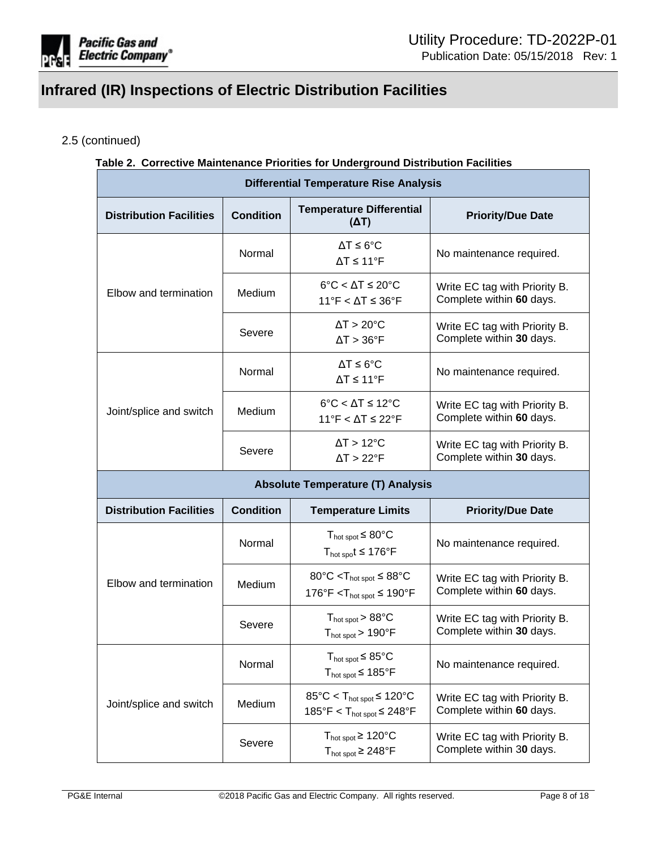

# 2.5 (continued)

### <span id="page-7-0"></span>**Table 2. Corrective Maintenance Priorities for Underground Distribution Facilities**

| <b>Differential Temperature Rise Analysis</b> |                  |                                                                                                     |                                                           |  |  |
|-----------------------------------------------|------------------|-----------------------------------------------------------------------------------------------------|-----------------------------------------------------------|--|--|
| <b>Distribution Facilities</b>                | <b>Condition</b> | <b>Temperature Differential</b><br>$(\Delta T)$                                                     | <b>Priority/Due Date</b>                                  |  |  |
|                                               | Normal           | $\Delta T \leq 6^{\circ}C$<br>$\Delta T \le 11$ °F                                                  | No maintenance required.                                  |  |  |
| Elbow and termination                         | Medium           | $6^{\circ}$ C < $\Delta$ T ≤ 20 $^{\circ}$ C<br>$11^{\circ}$ F < $\Delta$ T ≤ 36°F                  | Write EC tag with Priority B.<br>Complete within 60 days. |  |  |
|                                               | Severe           | $\Delta T > 20^{\circ}C$<br>$\Delta T > 36$ °F                                                      | Write EC tag with Priority B.<br>Complete within 30 days. |  |  |
|                                               | Normal           | $\Delta T \leq 6^{\circ}C$<br>$\Delta T \le 11$ °F                                                  | No maintenance required.                                  |  |  |
| Joint/splice and switch                       | Medium           | $6^{\circ}$ C < $\Delta$ T ≤ 12 $^{\circ}$ C<br>$11^{\circ}$ F < $\Delta$ T ≤ 22°F                  | Write EC tag with Priority B.<br>Complete within 60 days. |  |  |
|                                               | Severe           | $\Delta T > 12^{\circ}C$<br>$\Delta T > 22$ °F                                                      | Write EC tag with Priority B.<br>Complete within 30 days. |  |  |
|                                               |                  | <b>Absolute Temperature (T) Analysis</b>                                                            |                                                           |  |  |
| <b>Distribution Facilities</b>                | <b>Condition</b> | <b>Temperature Limits</b>                                                                           | <b>Priority/Due Date</b>                                  |  |  |
|                                               | Normal           | $T_{hot\ spot}$ $\leq 80^{\circ}$ C<br>$T_{hot\ spo}t \leq 176^{\circ}F$                            | No maintenance required.                                  |  |  |
| Elbow and termination                         | Medium           | $80^{\circ}$ C < T <sub>hot spot</sub> $\leq 88^{\circ}$ C<br>176°F < $T_{hot spot}$ ≤ 190°F        | Write EC tag with Priority B.<br>Complete within 60 days. |  |  |
|                                               | Severe           | $T_{hot spot}$ > 88 $^{\circ}$ C<br>$T_{hot spot}$ > 190 $\degree$ F                                | Write EC tag with Priority B.<br>Complete within 30 days. |  |  |
|                                               | Normal           | $T_{hot spot}$ $\leq$ 85°C<br>$T_{hot spot}$ $\leq 185^{\circ}$ F                                   | No maintenance required.                                  |  |  |
| Joint/splice and switch                       | Medium           | $85^{\circ}$ C < T <sub>hot spot</sub> $\leq 120^{\circ}$ C<br>185°F < $T_{hot\ spot}$ $\leq$ 248°F | Write EC tag with Priority B.<br>Complete within 60 days. |  |  |
|                                               | Severe           | $T_{hot spot} \ge 120^{\circ}C$<br>$T_{hot spot} \geq 248$ °F                                       | Write EC tag with Priority B.<br>Complete within 30 days. |  |  |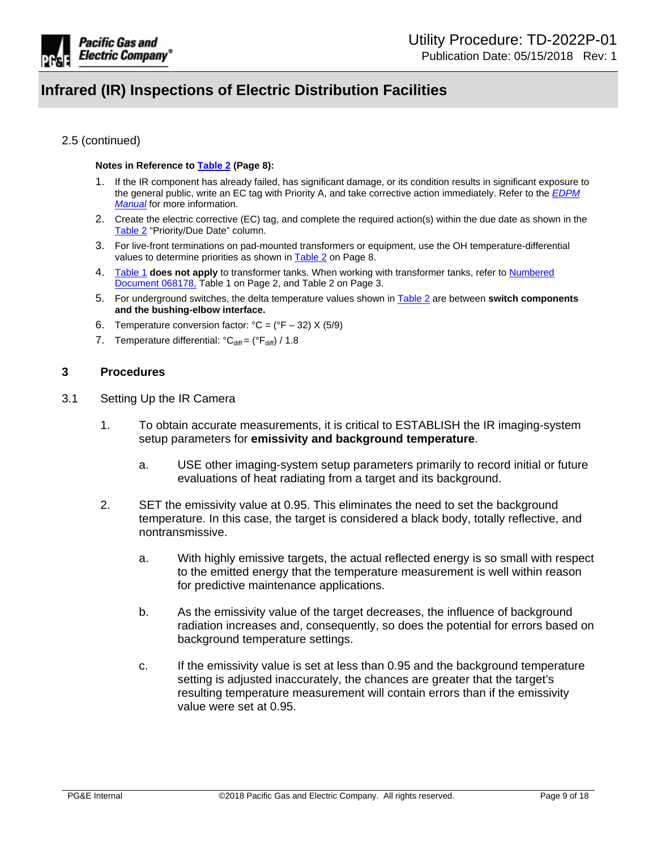

### 2.5 (continued)

#### <span id="page-8-1"></span>**Notes in Reference to [Table](#page-7-0) 2 (Page 8):**

- 1. If the IR component has already failed, has significant damage, or its condition results in significant exposure to the general public, write an EC tag with Priority A, and take corrective action immediately. Refer to the *[EDPM](https://ecmappwlsp01c2.comp.pge.com/TILVIEWER?chronicleId=09131aad80e01558&vd=true&device=false) [Manual](https://ecmappwlsp01c2.comp.pge.com/TILVIEWER?chronicleId=09131aad80e01558&vd=true&device=false)* for more information.
- 2. Create the electric corrective (EC) tag, and complete the required action(s) within the due date as shown in the [Table](#page-7-0) 2 "Priority/Due Date" column.
- 3. For live-front terminations on pad-mounted transformers or equipment, use the OH temperature-differential values to determine priorities as shown in [Table](#page-7-0) 2 on Page 8.
- 4. [Table](#page-5-0) 1 **does not apply** to transformer tanks. When working with transformer tanks, refer to [Numbered](https://ecmappwlsp01c2.comp.pge.com/TILVIEWER?chronicleId=09131aad80e00b90&vd=false&device=false) [Document](https://ecmappwlsp01c2.comp.pge.com/TILVIEWER?chronicleId=09131aad80e00b90&vd=false&device=false) 068178, Table 1 on Page 2, and Table 2 on Page 3.
- 5. For underground switches, the delta temperature values shown in [Table](#page-7-0) 2 are between **switch components and the bushing-elbow interface.**
- 6. Temperature conversion factor:  $°C = (°F 32) \times (5/9)$
- 7. Temperature differential:  ${}^{\circ}C_{diff} = ({}^{\circ}F_{diff}) / 1.8$

### <span id="page-8-0"></span>**3 Procedures**

- 3.1 Setting Up the IR Camera
	- 1. To obtain accurate measurements, it is critical to ESTABLISH the IR imaging-system setup parameters for **emissivity and background temperature**.
		- a. USE other imaging-system setup parameters primarily to record initial or future evaluations of heat radiating from a target and its background.
	- 2. SET the emissivity value at 0.95. This eliminates the need to set the background temperature. In this case, the target is considered a black body, totally reflective, and nontransmissive.
		- a. With highly emissive targets, the actual reflected energy is so small with respect to the emitted energy that the temperature measurement is well within reason for predictive maintenance applications.
		- b. As the emissivity value of the target decreases, the influence of background radiation increases and, consequently, so does the potential for errors based on background temperature settings.
		- c. If the emissivity value is set at less than 0.95 and the background temperature setting is adjusted inaccurately, the chances are greater that the target's resulting temperature measurement will contain errors than if the emissivity value were set at 0.95.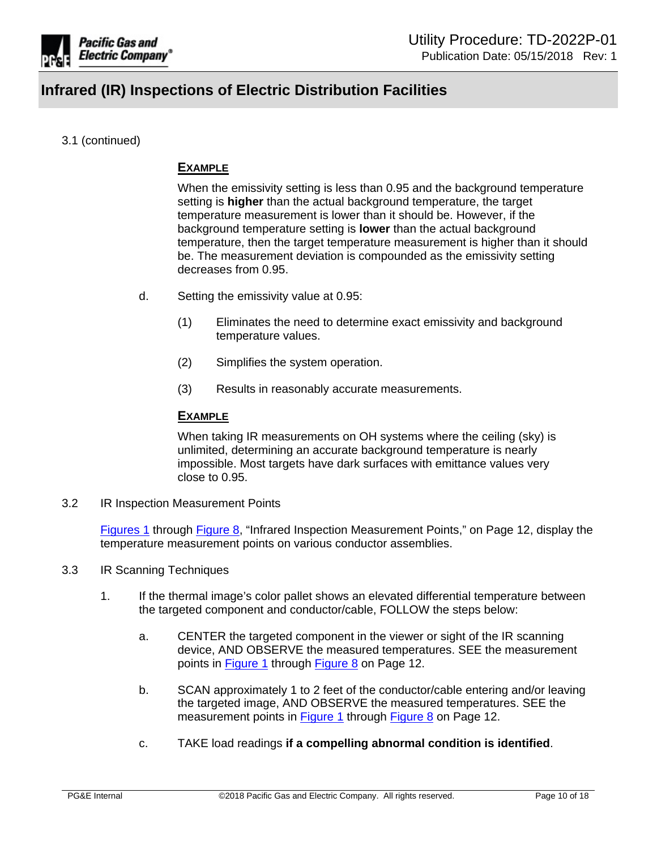

# 3.1 (continued)

# **EXAMPLE**

When the emissivity setting is less than 0.95 and the background temperature setting is **higher** than the actual background temperature, the target temperature measurement is lower than it should be. However, if the background temperature setting is **lower** than the actual background temperature, then the target temperature measurement is higher than it should be. The measurement deviation is compounded as the emissivity setting decreases from 0.95.

- d. Setting the emissivity value at 0.95:
	- (1) Eliminates the need to determine exact emissivity and background temperature values.
	- (2) Simplifies the system operation.
	- (3) Results in reasonably accurate measurements.

## **EXAMPLE**

When taking IR measurements on OH systems where the ceiling (sky) is unlimited, determining an accurate background temperature is nearly impossible. Most targets have dark surfaces with emittance values very close to 0.95.

3.2 IR Inspection Measurement Points

[Figures](#page-11-0) 1 through [Figure](#page-11-0) 8, "Infrared Inspection Measurement Points," on Page 12, display the temperature measurement points on various conductor assemblies.

- 3.3 IR Scanning Techniques
	- 1. If the thermal image's color pallet shows an elevated differential temperature between the targeted component and conductor/cable, FOLLOW the steps below:
		- a. CENTER the targeted component in the viewer or sight of the IR scanning device, AND OBSERVE the measured temperatures. SEE the measurement points in [Figure](#page-11-0) 1 through [Figure](#page-11-0) 8 on Page 12.
		- b. SCAN approximately 1 to 2 feet of the conductor/cable entering and/or leaving the targeted image, AND OBSERVE the measured temperatures. SEE the measurement points in [Figure](#page-11-0) 1 through Figure 8 on Page 12.
		- c. TAKE load readings **if a compelling abnormal condition is identified**.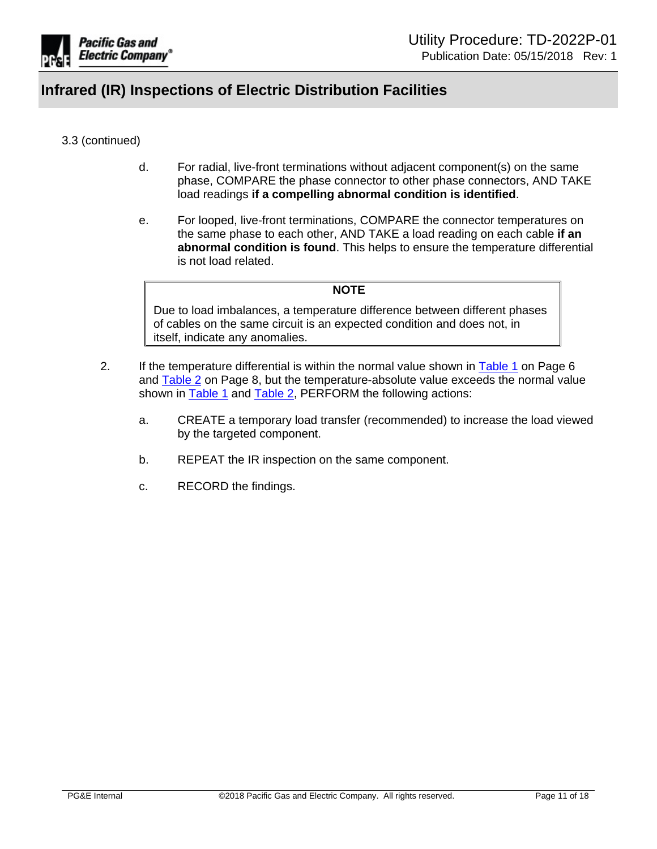

# 3.3 (continued)

- d. For radial, live-front terminations without adjacent component(s) on the same phase, COMPARE the phase connector to other phase connectors, AND TAKE load readings **if a compelling abnormal condition is identified**.
- e. For looped, live-front terminations, COMPARE the connector temperatures on the same phase to each other, AND TAKE a load reading on each cable **if an abnormal condition is found**. This helps to ensure the temperature differential is not load related.

#### **NOTE**

Due to load imbalances, a temperature difference between different phases of cables on the same circuit is an expected condition and does not, in itself, indicate any anomalies.

- 2. If the temperature differential is within the normal value shown in [Table](#page-5-0) 1 on Page 6 and [Table](#page-7-0) 2 on Page 8, but the temperature-absolute value exceeds the normal value shown in **[Table](#page-7-0) 1** and Table 2, PERFORM the following actions:
	- a. CREATE a temporary load transfer (recommended) to increase the load viewed by the targeted component.
	- b. REPEAT the IR inspection on the same component.
	- c. RECORD the findings.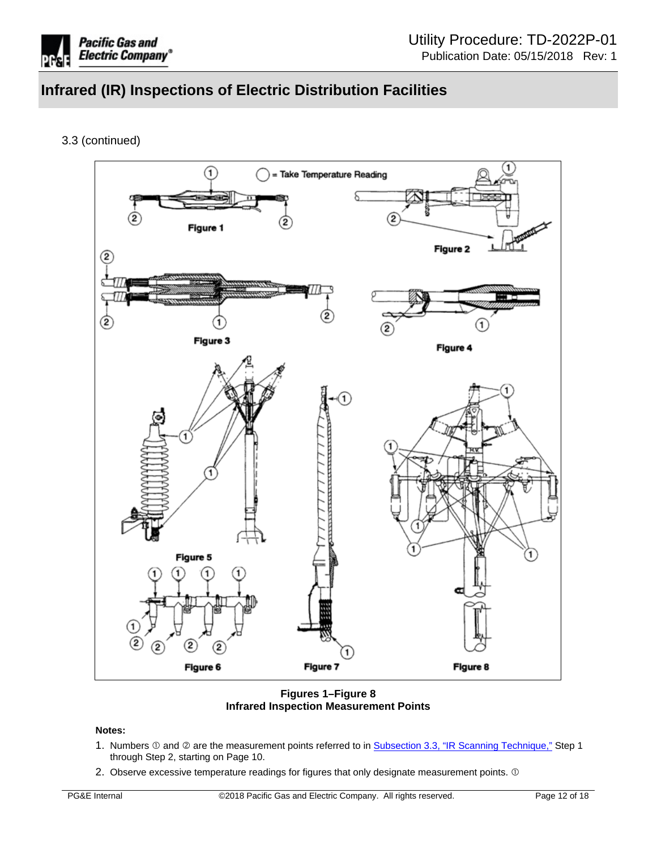

3.3 (continued)



<span id="page-11-0"></span>**Figures 1–Figure 8 Infrared Inspection Measurement Points**

#### **Notes:**

- 1. Numbers  $\odot$  and  $\oslash$  are the measurement points referred to in Subsection 3.3, "IR Scanning Technique," Step 1 through Step 2, starting on Page 10.
- 2. Observe excessive temperature readings for figures that only designate measurement points.  $\mathbb O$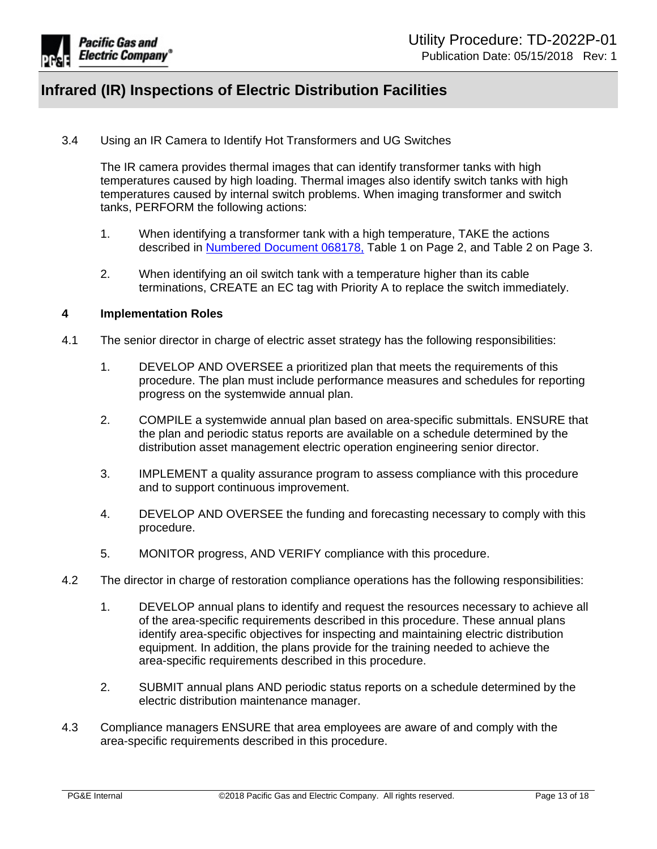

3.4 Using an IR Camera to Identify Hot Transformers and UG Switches

The IR camera provides thermal images that can identify transformer tanks with high temperatures caused by high loading. Thermal images also identify switch tanks with high temperatures caused by internal switch problems. When imaging transformer and switch tanks, PERFORM the following actions:

- 1. When identifying a transformer tank with a high temperature, TAKE the actions described in [Numbered](https://ecmappwlsp01c2.comp.pge.com/TILVIEWER?chronicleId=09131aad80e00b90&vd=false&device=false) Document 068178, Table 1 on Page 2, and Table 2 on Page 3.
- 2. When identifying an oil switch tank with a temperature higher than its cable terminations, CREATE an EC tag with Priority A to replace the switch immediately.

### <span id="page-12-0"></span>**4 Implementation Roles**

- 4.1 The senior director in charge of electric asset strategy has the following responsibilities:
	- 1. DEVELOP AND OVERSEE a prioritized plan that meets the requirements of this procedure. The plan must include performance measures and schedules for reporting progress on the systemwide annual plan.
	- 2. COMPILE a systemwide annual plan based on area-specific submittals. ENSURE that the plan and periodic status reports are available on a schedule determined by the distribution asset management electric operation engineering senior director.
	- 3. IMPLEMENT a quality assurance program to assess compliance with this procedure and to support continuous improvement.
	- 4. DEVELOP AND OVERSEE the funding and forecasting necessary to comply with this procedure.
	- 5. MONITOR progress, AND VERIFY compliance with this procedure.
- 4.2 The director in charge of restoration compliance operations has the following responsibilities:
	- 1. DEVELOP annual plans to identify and request the resources necessary to achieve all of the area-specific requirements described in this procedure. These annual plans identify area-specific objectives for inspecting and maintaining electric distribution equipment. In addition, the plans provide for the training needed to achieve the area-specific requirements described in this procedure.
	- 2. SUBMIT annual plans AND periodic status reports on a schedule determined by the electric distribution maintenance manager.
- 4.3 Compliance managers ENSURE that area employees are aware of and comply with the area-specific requirements described in this procedure.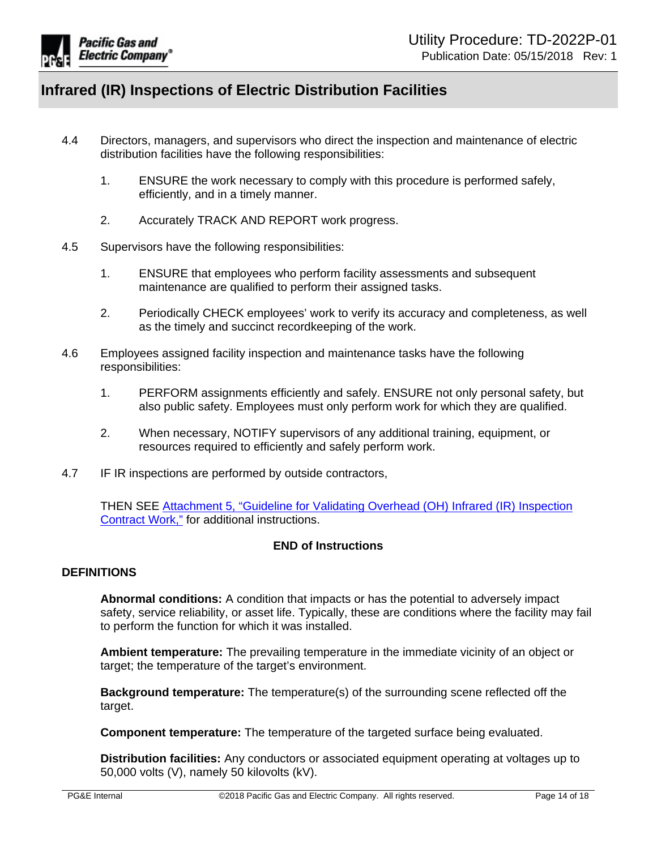

- 4.4 Directors, managers, and supervisors who direct the inspection and maintenance of electric distribution facilities have the following responsibilities:
	- 1. ENSURE the work necessary to comply with this procedure is performed safely, efficiently, and in a timely manner.
	- 2. Accurately TRACK AND REPORT work progress.
- 4.5 Supervisors have the following responsibilities:
	- 1. ENSURE that employees who perform facility assessments and subsequent maintenance are qualified to perform their assigned tasks.
	- 2. Periodically CHECK employees' work to verify its accuracy and completeness, as well as the timely and succinct recordkeeping of the work.
- 4.6 Employees assigned facility inspection and maintenance tasks have the following responsibilities:
	- 1. PERFORM assignments efficiently and safely. ENSURE not only personal safety, but also public safety. Employees must only perform work for which they are qualified.
	- 2. When necessary, NOTIFY supervisors of any additional training, equipment, or resources required to efficiently and safely perform work.
- 4.7 IF IR inspections are performed by outside contractors,

THEN SEE [Attachment](https://edrm.comp.pge.com/D2/?docbase=pge_ecm&commandEvent=D2_ACTION_CONTENT_VIEW&locateDql=pge_document(all)%20where%20i_chronicle_id%20=%2709131aad8908b314%27%20and%20any%20r_version_label=%27LIVE%27) 5, "Guideline for Validating Overhead (OH) Infrared (IR) Inspection [Contract](https://edrm.comp.pge.com/D2/?docbase=pge_ecm&commandEvent=D2_ACTION_CONTENT_VIEW&locateDql=pge_document(all)%20where%20i_chronicle_id%20=%2709131aad8908b314%27%20and%20any%20r_version_label=%27LIVE%27) Work," for additional instructions.

### **END of Instructions**

### **DEFINITIONS**

**Abnormal conditions:** A condition that impacts or has the potential to adversely impact safety, service reliability, or asset life. Typically, these are conditions where the facility may fail to perform the function for which it was installed.

**Ambient temperature:** The prevailing temperature in the immediate vicinity of an object or target; the temperature of the target's environment.

**Background temperature:** The temperature(s) of the surrounding scene reflected off the target.

**Component temperature:** The temperature of the targeted surface being evaluated.

**Distribution facilities:** Any conductors or associated equipment operating at voltages up to 50,000 volts (V), namely 50 kilovolts (kV).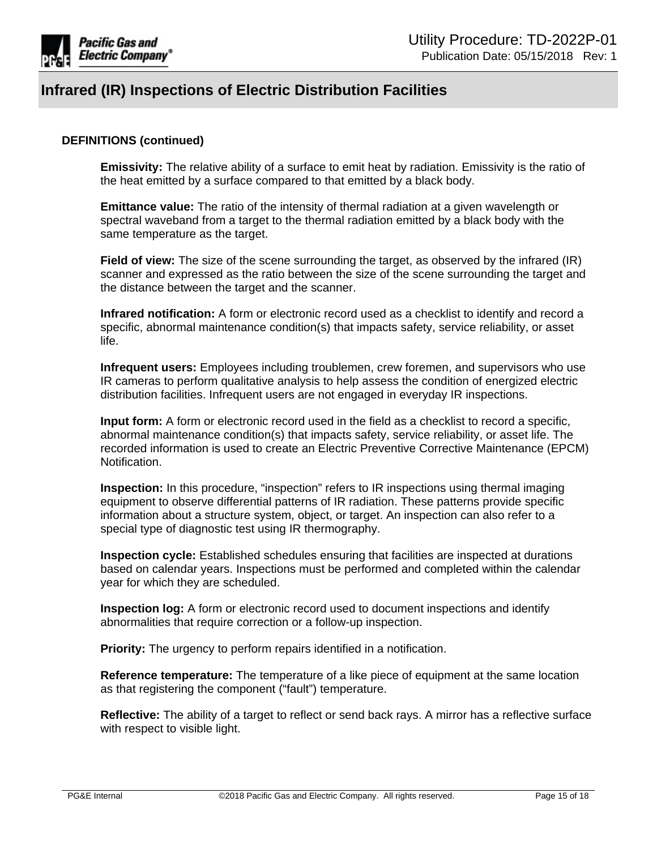

### **DEFINITIONS (continued)**

**Emissivity:** The relative ability of a surface to emit heat by radiation. Emissivity is the ratio of the heat emitted by a surface compared to that emitted by a black body.

**Emittance value:** The ratio of the intensity of thermal radiation at a given wavelength or spectral waveband from a target to the thermal radiation emitted by a black body with the same temperature as the target.

**Field of view:** The size of the scene surrounding the target, as observed by the infrared (IR) scanner and expressed as the ratio between the size of the scene surrounding the target and the distance between the target and the scanner.

**Infrared notification:** A form or electronic record used as a checklist to identify and record a specific, abnormal maintenance condition(s) that impacts safety, service reliability, or asset life.

**Infrequent users:** Employees including troublemen, crew foremen, and supervisors who use IR cameras to perform qualitative analysis to help assess the condition of energized electric distribution facilities. Infrequent users are not engaged in everyday IR inspections.

**Input form:** A form or electronic record used in the field as a checklist to record a specific, abnormal maintenance condition(s) that impacts safety, service reliability, or asset life. The recorded information is used to create an Electric Preventive Corrective Maintenance (EPCM) Notification.

**Inspection:** In this procedure, "inspection" refers to IR inspections using thermal imaging equipment to observe differential patterns of IR radiation. These patterns provide specific information about a structure system, object, or target. An inspection can also refer to a special type of diagnostic test using IR thermography.

**Inspection cycle:** Established schedules ensuring that facilities are inspected at durations based on calendar years. Inspections must be performed and completed within the calendar year for which they are scheduled.

**Inspection log:** A form or electronic record used to document inspections and identify abnormalities that require correction or a follow-up inspection.

**Priority:** The urgency to perform repairs identified in a notification.

**Reference temperature:** The temperature of a like piece of equipment at the same location as that registering the component ("fault") temperature.

**Reflective:** The ability of a target to reflect or send back rays. A mirror has a reflective surface with respect to visible light.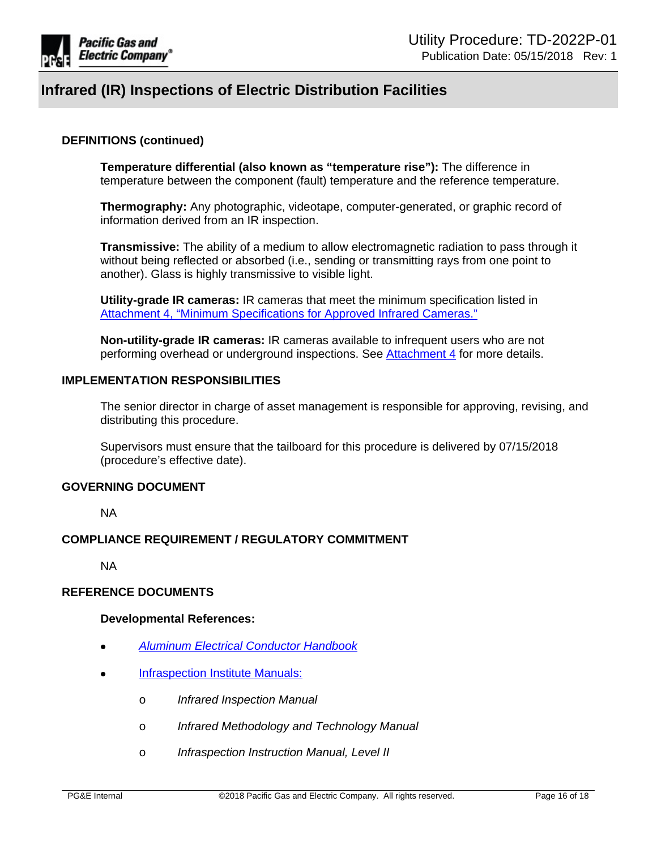

### **DEFINITIONS (continued)**

**Temperature differential (also known as "temperature rise"):** The difference in temperature between the component (fault) temperature and the reference temperature.

**Thermography:** Any photographic, videotape, computer-generated, or graphic record of information derived from an IR inspection.

**Transmissive:** The ability of a medium to allow electromagnetic radiation to pass through it without being reflected or absorbed (i.e., sending or transmitting rays from one point to another). Glass is highly transmissive to visible light.

**Utility-grade IR cameras:** IR cameras that meet the minimum specification listed in Attachment 4, "Minimum [Specifications](https://edrm.comp.pge.com/D2/?docbase=pge_ecm&commandEvent=D2_ACTION_CONTENT_VIEW&locateDql=pge_document(all)%20where%20i_chronicle_id%20=%2709131aad8908b312%27%20and%20any%20r_version_label=%27LIVE%27) for Approved Infrared Cameras."

**Non-utility-grade IR cameras:** IR cameras available to infrequent users who are not performing overhead or underground inspections. See [Attachment](https://edrm.comp.pge.com/D2/?docbase=pge_ecm&commandEvent=D2_ACTION_CONTENT_VIEW&locateDql=pge_document(all)%20where%20i_chronicle_id%20=%2709131aad8908b312%27%20and%20any%20r_version_label=%27LIVE%27) 4 for more details.

### **IMPLEMENTATION RESPONSIBILITIES**

The senior director in charge of asset management is responsible for approving, revising, and distributing this procedure.

Supervisors must ensure that the tailboard for this procedure is delivered by 07/15/2018 (procedure's effective date).

#### **GOVERNING DOCUMENT**

NA

### **COMPLIANCE REQUIREMENT / REGULATORY COMMITMENT**

NA

### **REFERENCE DOCUMENTS**

#### **Developmental References:**

- *Aluminum Electrical [Conductor](http://www.aluminum.org/sites/default/files/Aluminum%20Electrical%20Conductor%20Handbook.pdf) Handbook*
- [Infraspection](http://www.infraspection.com/) Institute Manuals:
	- o *Infrared Inspection Manual*
	- o *Infrared Methodology and Technology Manual*
	- o *Infraspection Instruction Manual, Level II*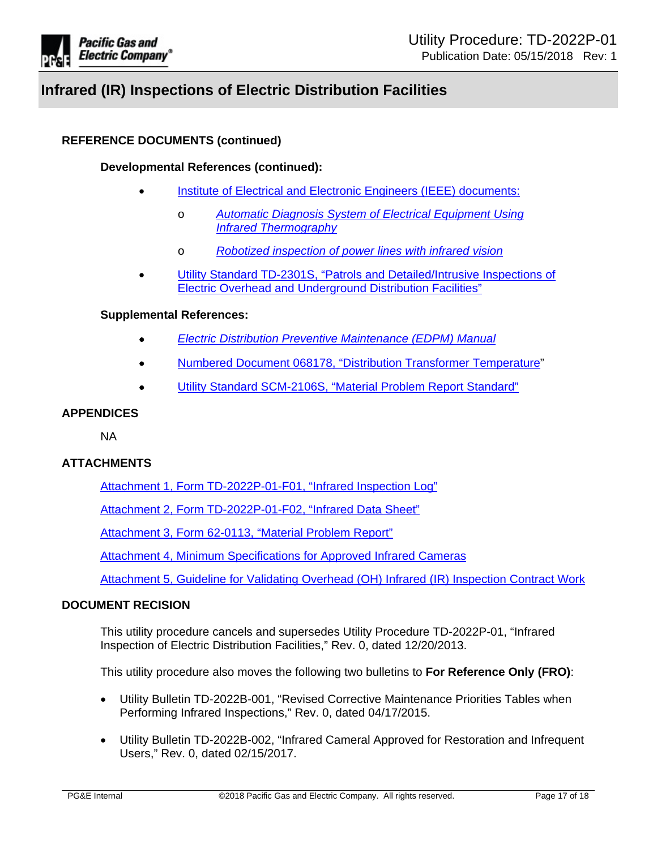

# **REFERENCE DOCUMENTS (continued)**

## **Developmental References (continued):**

- Institute of Electrical and Electronic Engineers (IEEE) [documents:](http://www.ieee.org/index.html)
	- o *Automatic Diagnosis System of Electrical [Equipment](https://ieeexplore.ieee.org/document/5368634/) Using Infrared [Thermography](https://ieeexplore.ieee.org/document/5368634/)*
	- o *Robotized [inspection](https://ieeexplore.ieee.org/document/5624468/?denied) of power lines with infrared vision*
- Utility Standard TD-2301S, "Patrols and [Detailed/Intrusive](https://ecmappwlsp01c2.comp.pge.com/TILVIEWER?chronicleId=09131aad81ae6bdb&vd=true&device=false) Inspections of Electric Overhead and [Underground](https://ecmappwlsp01c2.comp.pge.com/TILVIEWER?chronicleId=09131aad81ae6bdb&vd=true&device=false) Distribution Facilities"

#### **Supplemental References:**

- *Electric Distribution Preventive [Maintenance](https://ecmappwlsp01c2.comp.pge.com/TILVIEWER?chronicleId=09131aad80e01558&vd=true&device=false) (EDPM) Manual*
- Numbered Document 068178, "Distribution Transformer [Temperature"](https://ecmappwlsp01c2.comp.pge.com/TILVIEWER?chronicleId=09131aad80e00b90&vd=false&device=false)
- Utility Standard [SCM-2106S,](http://wwwedm/cgi-bin/getdoctdm.asp?itemid=005553202) "Material Problem Report Standard"

# **APPENDICES**

NA

### **ATTACHMENTS**

Attachment 1, Form [TD-2022P-01-F01,](https://ecmappwlsp01c2.comp.pge.com/TILVIEWER?chronicleId=09131aad80dfa6d4&vd=false&device=false) "Infrared Inspection Log"

Attachment 2, Form [TD-2022P-01-F02,](https://ecmappwlsp01c2.comp.pge.com/TILVIEWER?chronicleId=09131aad80dfc7a1&vd=false&device=false) "Infrared Data Sheet"

[Attachment](https://edrm.comp.pge.com/D2/servlet/Download?auth=basic&event_name=open&version=CURRENT&id=09131aad84d2d4c6&_docbase=pge_ecm) 3, Form 62-0113, "Material Problem Report"

Attachment 4, Minimum [Specifications](https://edrm.comp.pge.com/D2/?docbase=pge_ecm&commandEvent=D2_ACTION_CONTENT_VIEW&locateDql=pge_document(all)%20where%20i_chronicle_id%20=%2709131aad8908b312%27%20and%20any%20r_version_label=%27LIVE%27) for Approved Infrared Cameras

[Attachment](https://edrm.comp.pge.com/D2/?docbase=pge_ecm&commandEvent=D2_ACTION_CONTENT_VIEW&locateDql=pge_document(all)%20where%20i_chronicle_id%20=%2709131aad8908b314%27%20and%20any%20r_version_label=%27LIVE%27) 5, Guideline for Validating Overhead (OH) Infrared (IR) Inspection Contract Work

### **DOCUMENT RECISION**

This utility procedure cancels and supersedes Utility Procedure TD-2022P-01, "Infrared Inspection of Electric Distribution Facilities," Rev. 0, dated 12/20/2013.

This utility procedure also moves the following two bulletins to **For Reference Only (FRO)**:

- Utility Bulletin TD-2022B-001, "Revised Corrective Maintenance Priorities Tables when Performing Infrared Inspections," Rev. 0, dated 04/17/2015.
- Utility Bulletin TD-2022B-002, "Infrared Cameral Approved for Restoration and Infrequent Users," Rev. 0, dated 02/15/2017.